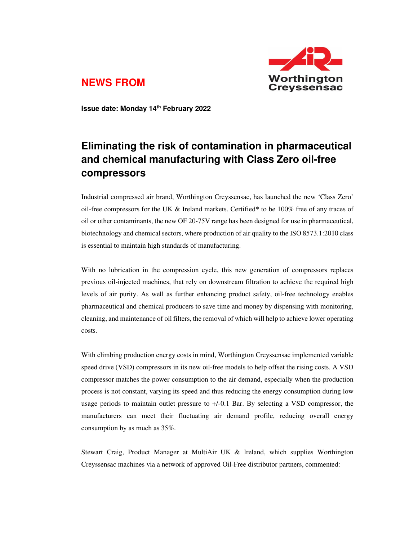

## **NEWS FROM**

**Issue date: Monday 14th February 2022** 

## **Eliminating the risk of contamination in pharmaceutical and chemical manufacturing with Class Zero oil-free compressors**

Industrial compressed air brand, Worthington Creyssensac, has launched the new 'Class Zero' oil-free compressors for the UK  $\&$  Ireland markets. Certified\* to be 100% free of any traces of oil or other contaminants, the new OF 20-75V range has been designed for use in pharmaceutical, biotechnology and chemical sectors, where production of air quality to the ISO 8573.1:2010 class is essential to maintain high standards of manufacturing.

With no lubrication in the compression cycle, this new generation of compressors replaces previous oil-injected machines, that rely on downstream filtration to achieve the required high levels of air purity. As well as further enhancing product safety, oil-free technology enables pharmaceutical and chemical producers to save time and money by dispensing with monitoring, cleaning, and maintenance of oil filters, the removal of which will help to achieve lower operating costs.

With climbing production energy costs in mind, Worthington Creyssensac implemented variable speed drive (VSD) compressors in its new oil-free models to help offset the rising costs. A VSD compressor matches the power consumption to the air demand, especially when the production process is not constant, varying its speed and thus reducing the energy consumption during low usage periods to maintain outlet pressure to +/-0.1 Bar. By selecting a VSD compressor, the manufacturers can meet their fluctuating air demand profile, reducing overall energy consumption by as much as 35%.

Stewart Craig, Product Manager at MultiAir UK & Ireland, which supplies Worthington Creyssensac machines via a network of approved Oil-Free distributor partners, commented: